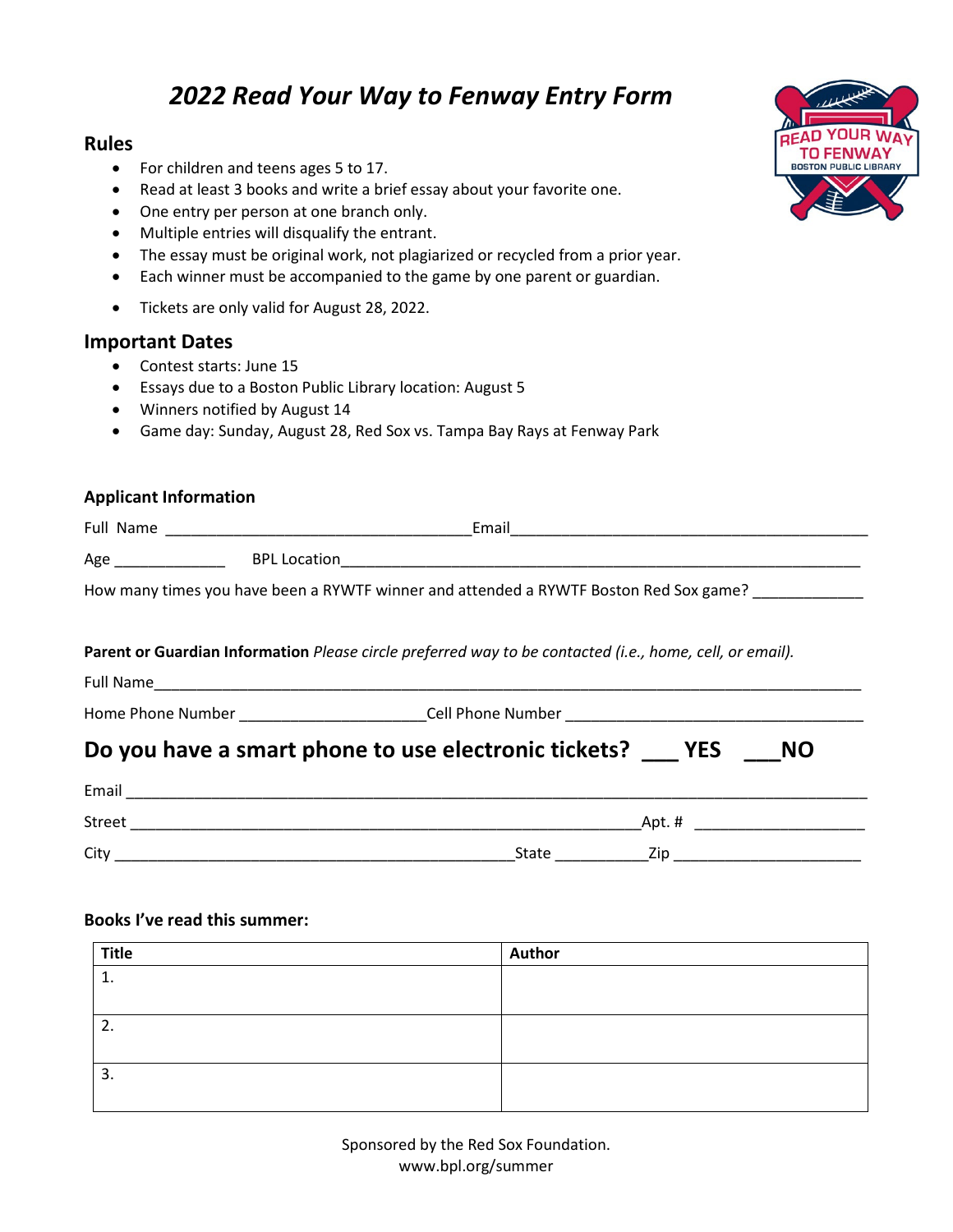# *2022 Read Your Way to Fenway Entry Form*

## **Rules**

- For children and teens ages 5 to 17.
- Read at least 3 books and write a brief essay about your favorite one.
- One entry per person at one branch only.
- Multiple entries will disqualify the entrant.
- The essay must be original work, not plagiarized or recycled from a prior year.
- Each winner must be accompanied to the game by one parent or guardian.
- Tickets are only valid for August 28, 2022.

### **Important Dates**

- Contest starts: June 15
- Essays due to a Boston Public Library location: August 5
- Winners notified by August 14
- Game day: Sunday, August 28, Red Sox vs. Tampa Bay Rays at Fenway Park

### **Applicant Information**

| Full Name |                                                                                       | Email |
|-----------|---------------------------------------------------------------------------------------|-------|
| Age       | <b>BPL Location</b>                                                                   |       |
|           | How many times you have been a RYWTF winner and attended a RYWTF Boston Red Sox game? |       |

#### **Parent or Guardian Information** *Please circle preferred way to be contacted (i.e., home, cell, or email).*

| <b>Full Name</b> | _________ |  |  |
|------------------|-----------|--|--|
|                  |           |  |  |

Home Phone Number \_\_\_\_\_\_\_\_\_\_\_\_\_\_\_\_\_\_\_\_\_\_\_\_\_\_\_\_\_\_\_\_\_Cell Phone Number \_\_\_\_\_\_\_\_\_\_\_

## **Do you have a smart phone to use electronic tickets? \_\_\_ YES \_\_\_NO**

| Email         |                     |
|---------------|---------------------|
| <b>Street</b> | Apt.#               |
| City          | Zip<br><b>State</b> |

#### **Books I've read this summer:**

| <b>Title</b>  | Author |
|---------------|--------|
| <b>.</b>      |        |
|               |        |
| ີ<br><u>.</u> |        |
|               |        |
| 3.            |        |
|               |        |



Sponsored by the Red Sox Foundation. www.bpl.org/summer